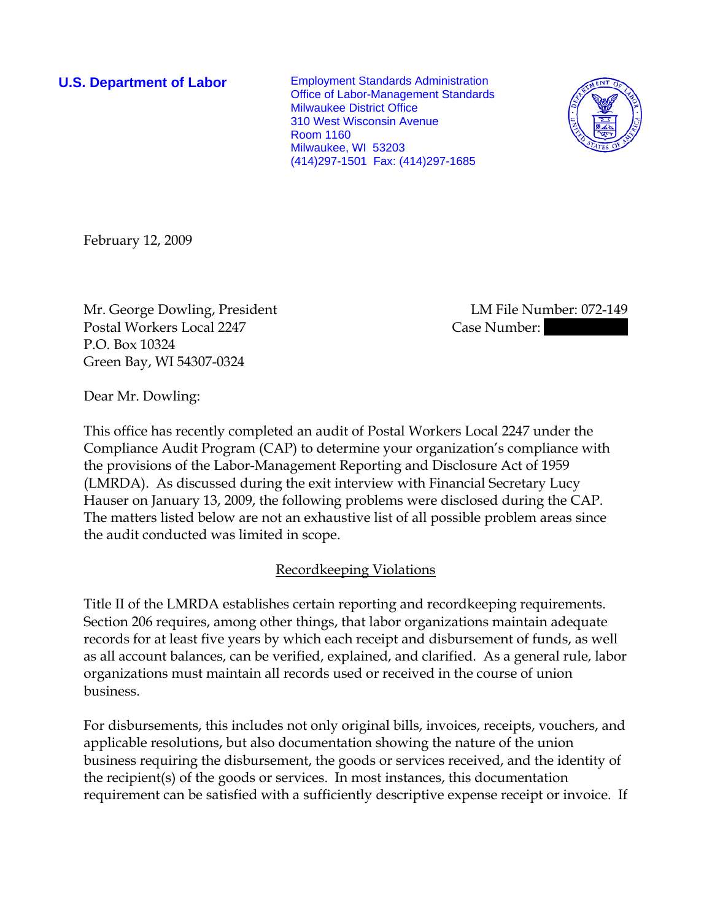**U.S. Department of Labor** Employment Standards Administration Office of Labor-Management Standards Milwaukee District Office 310 West Wisconsin Avenue Room 1160 Milwaukee, WI 53203 (414)297-1501 Fax: (414)297-1685



February 12, 2009

Mr. George Dowling, President LM File Number: 072-149 Postal Workers Local 2247 Case Number: P.O. Box 10324 Green Bay, WI 54307-0324

Dear Mr. Dowling:

This office has recently completed an audit of Postal Workers Local 2247 under the Compliance Audit Program (CAP) to determine your organization's compliance with the provisions of the Labor-Management Reporting and Disclosure Act of 1959 (LMRDA). As discussed during the exit interview with Financial Secretary Lucy Hauser on January 13, 2009, the following problems were disclosed during the CAP. The matters listed below are not an exhaustive list of all possible problem areas since the audit conducted was limited in scope.

## Recordkeeping Violations

Title II of the LMRDA establishes certain reporting and recordkeeping requirements. Section 206 requires, among other things, that labor organizations maintain adequate records for at least five years by which each receipt and disbursement of funds, as well as all account balances, can be verified, explained, and clarified. As a general rule, labor organizations must maintain all records used or received in the course of union business.

For disbursements, this includes not only original bills, invoices, receipts, vouchers, and applicable resolutions, but also documentation showing the nature of the union business requiring the disbursement, the goods or services received, and the identity of the recipient(s) of the goods or services. In most instances, this documentation requirement can be satisfied with a sufficiently descriptive expense receipt or invoice. If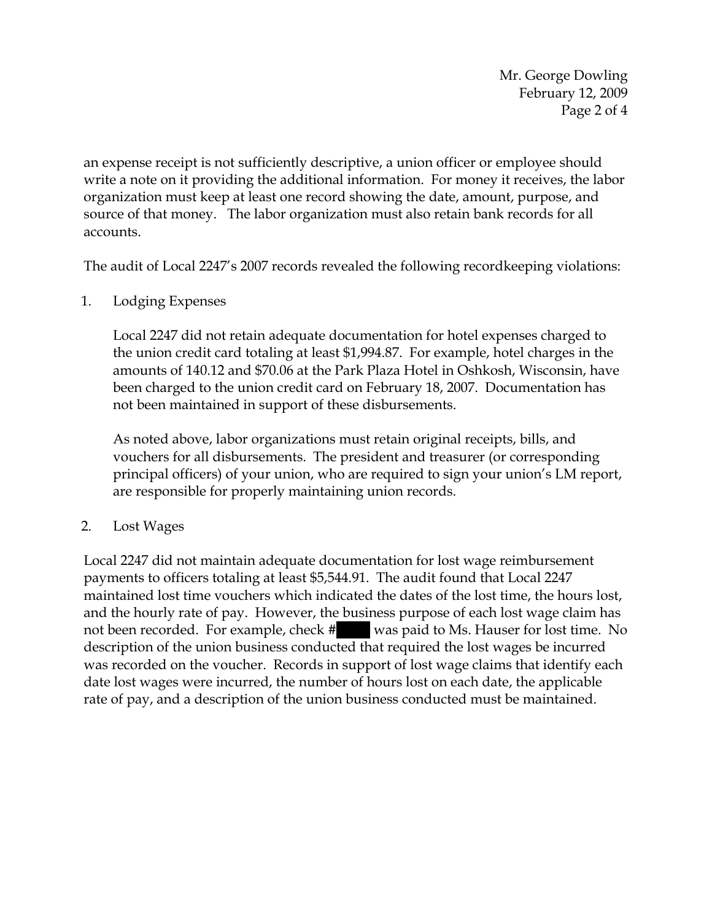Mr. George Dowling February 12, 2009 Page 2 of 4

an expense receipt is not sufficiently descriptive, a union officer or employee should write a note on it providing the additional information. For money it receives, the labor organization must keep at least one record showing the date, amount, purpose, and source of that money. The labor organization must also retain bank records for all accounts.

The audit of Local 2247's 2007 records revealed the following recordkeeping violations:

1. Lodging Expenses

Local 2247 did not retain adequate documentation for hotel expenses charged to the union credit card totaling at least \$1,994.87. For example, hotel charges in the amounts of 140.12 and \$70.06 at the Park Plaza Hotel in Oshkosh, Wisconsin, have been charged to the union credit card on February 18, 2007. Documentation has not been maintained in support of these disbursements.

As noted above, labor organizations must retain original receipts, bills, and vouchers for all disbursements. The president and treasurer (or corresponding principal officers) of your union, who are required to sign your union's LM report, are responsible for properly maintaining union records.

2. Lost Wages

Local 2247 did not maintain adequate documentation for lost wage reimbursement payments to officers totaling at least \$5,544.91. The audit found that Local 2247 maintained lost time vouchers which indicated the dates of the lost time, the hours lost, and the hourly rate of pay. However, the business purpose of each lost wage claim has not been recorded. For example, check # || was paid to Ms. Hauser for lost time. No description of the union business conducted that required the lost wages be incurred was recorded on the voucher. Records in support of lost wage claims that identify each date lost wages were incurred, the number of hours lost on each date, the applicable rate of pay, and a description of the union business conducted must be maintained.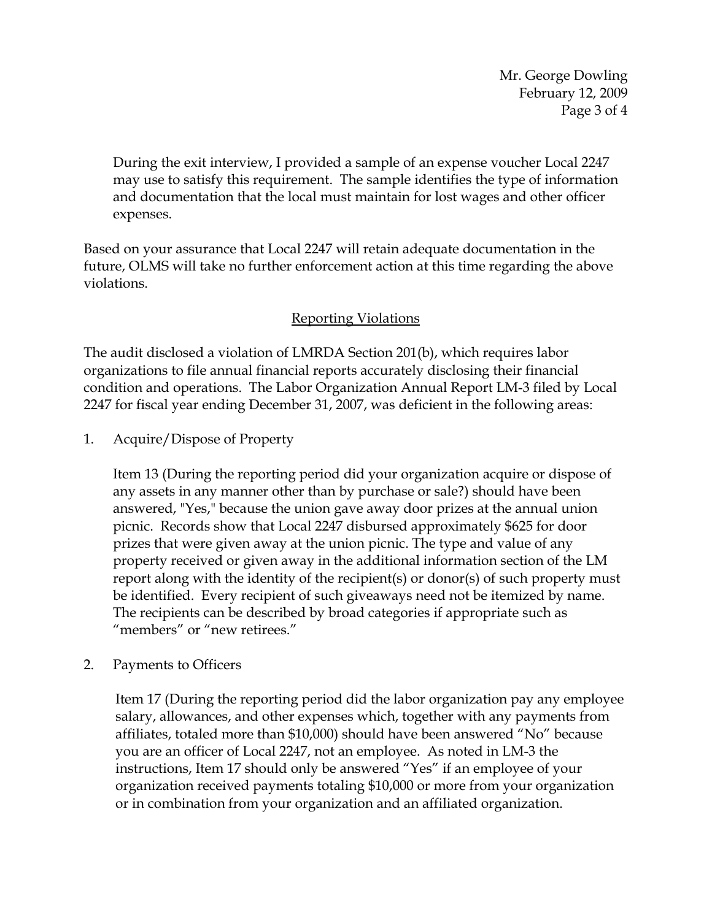Mr. George Dowling February 12, 2009 Page 3 of 4

During the exit interview, I provided a sample of an expense voucher Local 2247 may use to satisfy this requirement. The sample identifies the type of information and documentation that the local must maintain for lost wages and other officer expenses.

Based on your assurance that Local 2247 will retain adequate documentation in the future, OLMS will take no further enforcement action at this time regarding the above violations.

## Reporting Violations

The audit disclosed a violation of LMRDA Section 201(b), which requires labor organizations to file annual financial reports accurately disclosing their financial condition and operations. The Labor Organization Annual Report LM-3 filed by Local 2247 for fiscal year ending December 31, 2007, was deficient in the following areas:

1. Acquire/Dispose of Property

Item 13 (During the reporting period did your organization acquire or dispose of any assets in any manner other than by purchase or sale?) should have been answered, "Yes," because the union gave away door prizes at the annual union picnic. Records show that Local 2247 disbursed approximately \$625 for door prizes that were given away at the union picnic. The type and value of any property received or given away in the additional information section of the LM report along with the identity of the recipient(s) or donor(s) of such property must be identified. Every recipient of such giveaways need not be itemized by name. The recipients can be described by broad categories if appropriate such as "members" or "new retirees."

2. Payments to Officers

Item 17 (During the reporting period did the labor organization pay any employee salary, allowances, and other expenses which, together with any payments from affiliates, totaled more than \$10,000) should have been answered "No" because you are an officer of Local 2247, not an employee. As noted in LM-3 the instructions, Item 17 should only be answered "Yes" if an employee of your organization received payments totaling \$10,000 or more from your organization or in combination from your organization and an affiliated organization.